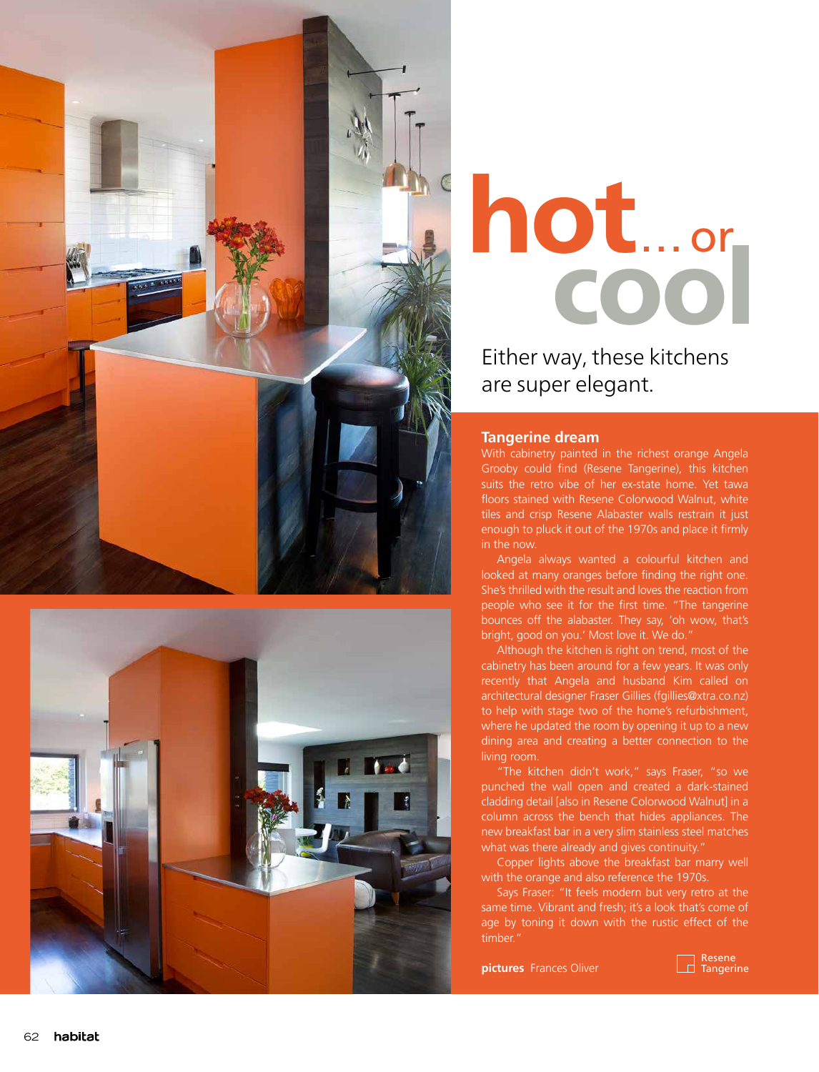



## hot...or

Either way, these kitchens are super elegant.

## **Tangerine dream**

With cabinetry painted in the richest orange Angela Grooby could find (Resene Tangerine), this kitchen suits the retro vibe of her ex-state home. Yet tawa floors stained with Resene Colorwood Walnut, white tiles and crisp Resene Alabaster walls restrain it just enough to pluck it out of the 1970s and place it firmly in the now.

Angela always wanted a colourful kitchen and looked at many oranges before finding the right one. She's thrilled with the result and loves the reaction from people who see it for the first time. "The tangerine bounces off the alabaster. They say, 'oh wow, that's bright, good on you.' Most love it. We do."

Although the kitchen is right on trend, most of the cabinetry has been around for a few years. It was only recently that Angela and husband Kim called on architectural designer Fraser Gillies (fgillies@xtra.co.nz) to help with stage two of the home's refurbishment, where he updated the room by opening it up to a new dining area and creating a better connection to the living room.

"The kitchen didn't work," says Fraser, "so we punched the wall open and created a dark-stained cladding detail [also in Resene Colorwood Walnut] in a column across the bench that hides appliances. The new breakfast bar in a very slim stainless steel matches what was there already and gives continuity."

Copper lights above the breakfast bar marry well with the orange and also reference the 1970s.

Says Fraser: "It feels modern but very retro at the same time. Vibrant and fresh; it's a look that's come of age by toning it down with the rustic effect of the timber."

**pictures** Frances Oliver

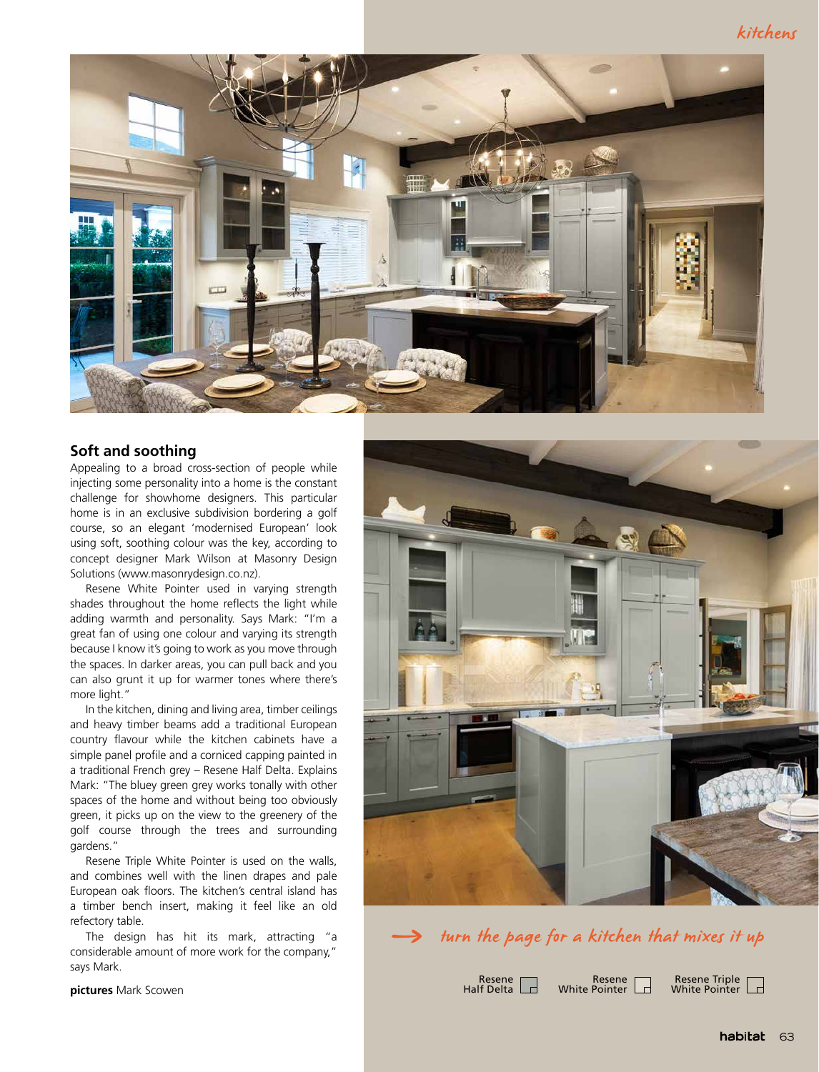

## **Soft and soothing**

Appealing to a broad cross-section of people while injecting some personality into a home is the constant challenge for showhome designers. This particular home is in an exclusive subdivision bordering a golf course, so an elegant 'modernised European' look using soft, soothing colour was the key, according to concept designer Mark Wilson at Masonry Design Solutions (www.masonrydesign.co.nz).

Resene White Pointer used in varying strength shades throughout the home reflects the light while adding warmth and personality. Says Mark: "I'm a great fan of using one colour and varying its strength because I know it's going to work as you move through the spaces. In darker areas, you can pull back and you can also grunt it up for warmer tones where there's more light."

In the kitchen, dining and living area, timber ceilings and heavy timber beams add a traditional European country flavour while the kitchen cabinets have a simple panel profile and a corniced capping painted in a traditional French grey – Resene Half Delta. Explains Mark: "The bluey green grey works tonally with other spaces of the home and without being too obviously green, it picks up on the view to the greenery of the golf course through the trees and surrounding gardens."

Resene Triple White Pointer is used on the walls, and combines well with the linen drapes and pale European oak floors. The kitchen's central island has a timber bench insert, making it feel like an old refectory table.

The design has hit its mark, attracting "a considerable amount of more work for the company," says Mark.

**pictures** Mark Scowen





Resene Half Delta

Resene  $\overline{a}$ White Pointer

Resene Triple I a White Pointer